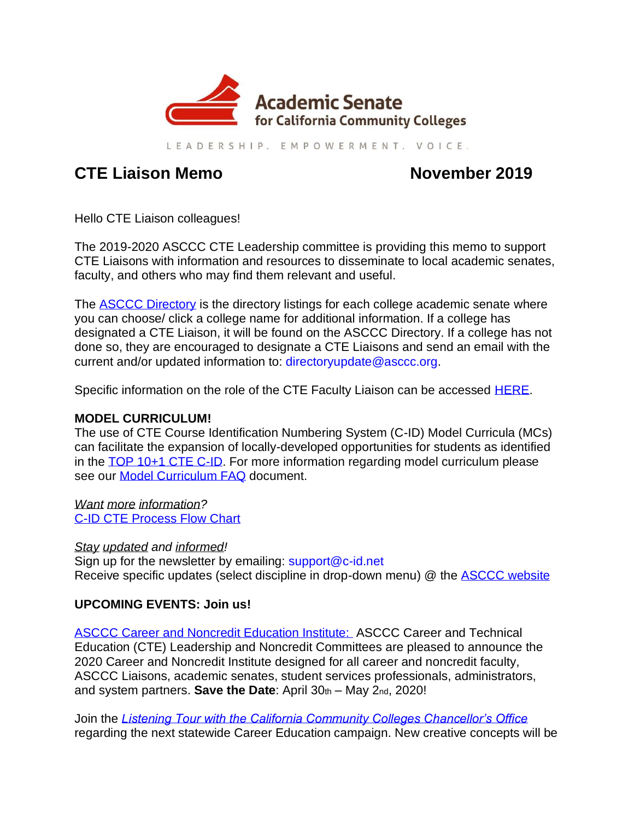

LEADERSHIP, EMPOWERMENT, VOICE,

# **CTE Liaison Memo November 2019**

Hello CTE Liaison colleagues!

The 2019-2020 ASCCC CTE Leadership committee is providing this memo to support CTE Liaisons with information and resources to disseminate to local academic senates, faculty, and others who may find them relevant and useful.

The **ASCCC** Directory is the directory listings for each college academic senate where you can choose/ click a college name for additional information. If a college has designated a CTE Liaison, it will be found on the ASCCC Directory. If a college has not done so, they are encouraged to designate a CTE Liaisons and send an email with the current and/or updated information to: [directoryupdate@asccc.org.](mailto:directoryupdate@asccc.org)

Specific information on the role of the CTE Faculty Liaison can be accessed [HERE.](https://asccc.org/cte-faculty-liaison)

## **MODEL CURRICULUM!**

The use of CTE Course Identification Numbering System (C-ID) Model Curricula (MCs) can facilitate the expansion of locally-developed opportunities for students as identified in the [TOP 10+1 CTE C-ID.](file:///C:/Users/CaRRiE%20RoBeRSoN/Documents/Downloads/Top10+1_CTE_C-ID-2-20-2019.pdf) For more information regarding model curriculum please see our [Model Curriculum FAQ](https://www.c-id.net/cms-uploads/cms/Model_Curriculum_FAQ.docx) document.

*Want more information?* [C-ID CTE Process Flow Chart](https://www.c-id.net/cms-uploads/cms/C-ID_Process_Flow_Chart.pdf)

#### *Stay updated and informed!*

Sign up for the newsletter by emailing: [support@c-id.net](mailto:support@c-id.net) Receive specific updates (select discipline in drop-down menu) @ the **ASCCC** website

## **UPCOMING EVENTS: Join us!**

[ASCCC Career and Noncredit Education Institute:](https://www.asccc.org/events/2020-04-30-160000-2020-05-02-190000/2020-career-and-noncredit-institute) ASCCC Career and Technical Education (CTE) Leadership and Noncredit Committees are pleased to announce the 2020 Career and Noncredit Institute designed for all career and noncredit faculty, ASCCC Liaisons, academic senates, student services professionals, administrators, and system partners. **Save the Date**: April 30th – May 2nd, 2020!

Join the *[Listening Tour with the California Community Colleges Chancellor's Office](file:///C:/Users/CaRRiE%20RoBeRSoN/Desktop/TO%20DO!/CCCCO%20Listening%20Tour.pdf)* regarding the next statewide Career Education campaign. New creative concepts will be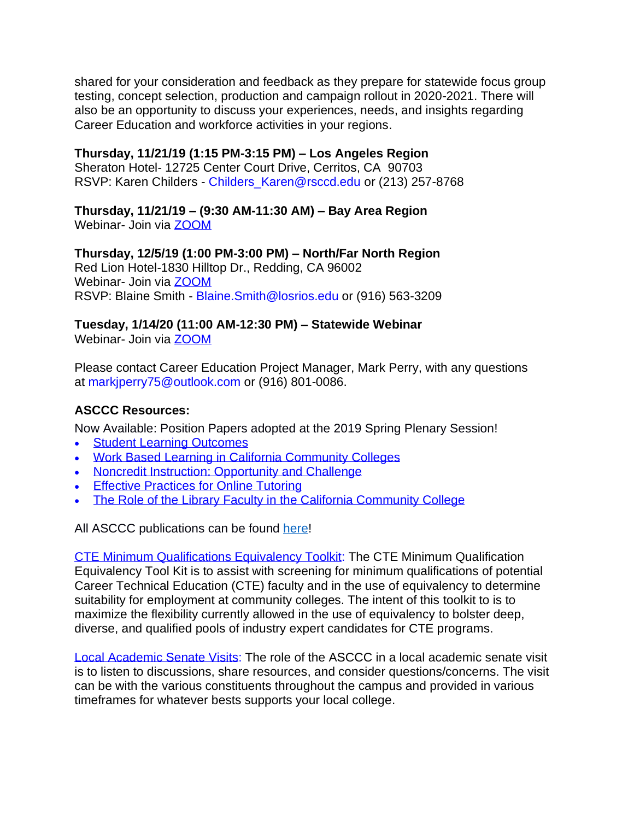shared for your consideration and feedback as they prepare for statewide focus group testing, concept selection, production and campaign rollout in 2020-2021. There will also be an opportunity to discuss your experiences, needs, and insights regarding Career Education and workforce activities in your regions.

#### **Thursday, 11/21/19 (1:15 PM-3:15 PM) – Los Angeles Region**

Sheraton Hotel- 12725 Center Court Drive, Cerritos, CA 90703 RSVP: Karen Childers - [Childers\\_Karen@rsccd.edu](mailto:Childers_Karen@rsccd.edu) or (213) 257-8768

#### **Thursday, 11/21/19 – (9:30 AM-11:30 AM) – Bay Area Region**

Webinar- Join via [ZOOM](https://cccconfer.zoom.us/j/6505609798)

**Thursday, 12/5/19 (1:00 PM-3:00 PM) – North/Far North Region** Red Lion Hotel-1830 Hilltop Dr., Redding, CA 96002 Webinar- Join via [ZOOM](https://cccconfer.zoom.us/j/432538685) RSVP: Blaine Smith - [Blaine.Smith@losrios.edu](mailto:Blaine.Smith@losrios.edu) or (916) 563-3209

#### **Tuesday, 1/14/20 (11:00 AM-12:30 PM) – Statewide Webinar**  Webinar- Join via **ZOOM**

Please contact Career Education Project Manager, Mark Perry, with any questions at [markjperry75@outlook.com](mailto:markjperry75@outlook.com) or (916) 801-0086.

#### **ASCCC Resources:**

Now Available: Position Papers adopted at the 2019 Spring Plenary Session!

- **Student Learning [Outcomes](https://urldefense.proofpoint.com/v2/url?u=https-3A__academicsenate.cmail19.com_t_y-2Dl-2Dujlkkyt-2Dtiochykh-2Dx_&d=DwMFaQ&c=2mkf2LtcPYbxZNbe14MkEA&r=cEbP7WsRN4FOkQaqSaOvlkQ72xRPZ-oHGhvxNLIRFEg&m=VXb4WB-E3pUeP6lTIE_Ize_d1lz_WGLxnonWk5Eun7g&s=fMi5lUz_Ub0jS2k1Hip30D31F1BCvthiVxKF9TLgkIU&e=)**
- Work Based Learning in California [Community](https://urldefense.proofpoint.com/v2/url?u=https-3A__academicsenate.cmail19.com_t_y-2Dl-2Dujlkkyt-2Dtiochykh-2Dm_&d=DwMFaQ&c=2mkf2LtcPYbxZNbe14MkEA&r=cEbP7WsRN4FOkQaqSaOvlkQ72xRPZ-oHGhvxNLIRFEg&m=VXb4WB-E3pUeP6lTIE_Ize_d1lz_WGLxnonWk5Eun7g&s=tagLFMyKfdccJ2VHcrDI-r3JwamnxrlphgTaTRk2IFY&e=) Colleges
- Noncredit Instruction: [Opportunity](https://urldefense.proofpoint.com/v2/url?u=https-3A__academicsenate.cmail19.com_t_y-2Dl-2Dujlkkyt-2Dtiochykh-2Dc_&d=DwMFaQ&c=2mkf2LtcPYbxZNbe14MkEA&r=cEbP7WsRN4FOkQaqSaOvlkQ72xRPZ-oHGhvxNLIRFEg&m=VXb4WB-E3pUeP6lTIE_Ize_d1lz_WGLxnonWk5Eun7g&s=v3H3faiWBhpRcj1N9EZKTWnOWd1kLunh7sSFLzX-xno&e=) and Challenge
- Effective [Practices](https://urldefense.proofpoint.com/v2/url?u=https-3A__academicsenate.cmail19.com_t_y-2Dl-2Dujlkkyt-2Dtiochykh-2Dq_&d=DwMFaQ&c=2mkf2LtcPYbxZNbe14MkEA&r=cEbP7WsRN4FOkQaqSaOvlkQ72xRPZ-oHGhvxNLIRFEg&m=VXb4WB-E3pUeP6lTIE_Ize_d1lz_WGLxnonWk5Eun7g&s=V8IpI0Dw3GtQuTedpLLkESv4xCsVaZiTShYDa3jd3so&e=) for Online Tutoring
- The Role of the Library Faculty in the California [Community](https://urldefense.proofpoint.com/v2/url?u=https-3A__academicsenate.cmail19.com_t_y-2Dl-2Dujlkkyt-2Dtiochykh-2Dz_&d=DwMFaQ&c=2mkf2LtcPYbxZNbe14MkEA&r=cEbP7WsRN4FOkQaqSaOvlkQ72xRPZ-oHGhvxNLIRFEg&m=VXb4WB-E3pUeP6lTIE_Ize_d1lz_WGLxnonWk5Eun7g&s=WAvmWmoc3fXcD8LOGupWVJIrXaQX4ai6aXuLJyPobKc&e=) College

All ASCCC publications can be found [here!](https://urldefense.proofpoint.com/v2/url?u=https-3A__academicsenate.cmail19.com_t_y-2Dl-2Dujlkkyt-2Dtiochykh-2Dp_&d=DwMFaQ&c=2mkf2LtcPYbxZNbe14MkEA&r=cEbP7WsRN4FOkQaqSaOvlkQ72xRPZ-oHGhvxNLIRFEg&m=VXb4WB-E3pUeP6lTIE_Ize_d1lz_WGLxnonWk5Eun7g&s=a_BvGX-5Sw67gf9apWJ8iYBanZwzUXapx5fttgwtFic&e=)

[CTE Minimum Qualifications Equivalency Toolkit:](https://www.asccc.org/content/cte-minimum-qualifications-tool-kit) The CTE Minimum Qualification Equivalency Tool Kit is to assist with screening for minimum qualifications of potential Career Technical Education (CTE) faculty and in the use of equivalency to determine suitability for employment at community colleges. The intent of this toolkit to is to maximize the flexibility currently allowed in the use of equivalency to bolster deep, diverse, and qualified pools of industry expert candidates for CTE programs.

[Local Academic Senate Visits:](https://www.asccc.org/services/local-senate-visits) The role of the ASCCC in a local academic senate visit is to listen to discussions, share resources, and consider questions/concerns. The visit can be with the various constituents throughout the campus and provided in various timeframes for whatever bests supports your local college.